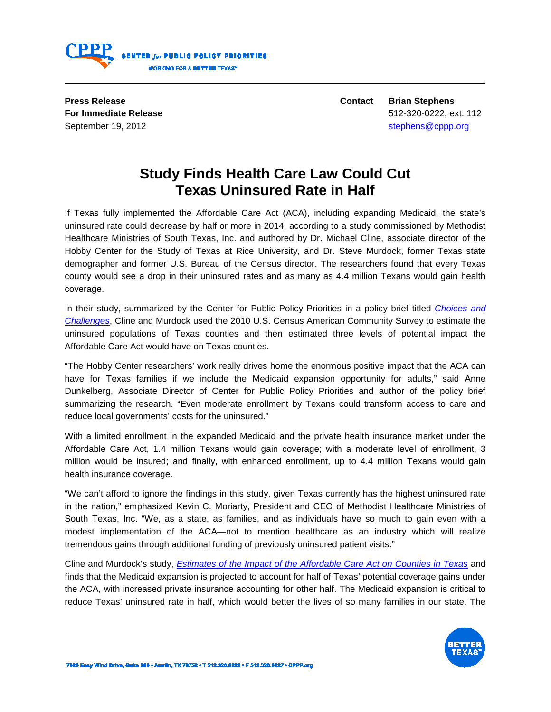

**Press Release Contact Brian Stephens For Immediate Release For Immediate Release** 512-320-0222, ext. 112 September 19, 2012 Stephens @cppp.org in the stephens of the stephens and stephens are stephens and stephens and stephens are stephens and stephens are stephens and stephens are stephens and stephens are stephens and steph

## **Study Finds Health Care Law Could Cut Texas Uninsured Rate in Half**

If Texas fully implemented the Affordable Care Act (ACA), including expanding Medicaid, the state's uninsured rate could decrease by half or more in 2014, according to a study commissioned by Methodist Healthcare Ministries of South Texas, Inc. and authored by Dr. Michael Cline, associate director of the Hobby Center for the Study of Texas at Rice University, and Dr. Steve Murdock, former Texas state demographer and former U.S. Bureau of the Census director. The researchers found that every Texas county would see a drop in their uninsured rates and as many as 4.4 million Texans would gain health coverage.

In their study, summarized by the Center for Public Policy Priorities in a policy brief titled *[Choices and](http://cppp.org/research.php?aid=1231)  [Challenges](http://cppp.org/research.php?aid=1231)*, Cline and Murdock used the 2010 U.S. Census American Community Survey to estimate the uninsured populations of Texas counties and then estimated three levels of potential impact the Affordable Care Act would have on Texas counties.

"The Hobby Center researchers' work really drives home the enormous positive impact that the ACA can have for Texas families if we include the Medicaid expansion opportunity for adults," said Anne Dunkelberg, Associate Director of Center for Public Policy Priorities and author of the policy brief summarizing the research. "Even moderate enrollment by Texans could transform access to care and reduce local governments' costs for the uninsured."

With a limited enrollment in the expanded Medicaid and the private health insurance market under the Affordable Care Act, 1.4 million Texans would gain coverage; with a moderate level of enrollment, 3 million would be insured; and finally, with enhanced enrollment, up to 4.4 million Texans would gain health insurance coverage.

"We can't afford to ignore the findings in this study, given Texas currently has the highest uninsured rate in the nation," emphasized Kevin C. Moriarty, President and CEO of Methodist Healthcare Ministries of South Texas, Inc. "We, as a state, as families, and as individuals have so much to gain even with a modest implementation of the ACA—not to mention healthcare as an industry which will realize tremendous gains through additional funding of previously uninsured patient visits."

Cline and Murdock's study, *Estimates of the Impact [of the Affordable Care Act on Counties in Texas](http://org2.democracyinaction.org/dia/track.jsp?key=-1&url_num=2&url=http%3A%2F%2Fwww.mhm.org%2Fimages%2Fstories%2Fadvocacy_and_public_policy%2FEstimates+of+the+Impact+of+the+ACA+on+Texas+Counties_FINAL+REPORT+APRIL+2012.pdf)* and finds that the Medicaid expansion is projected to account for half of Texas' potential coverage gains under the ACA, with increased private insurance accounting for other half. The Medicaid expansion is critical to reduce Texas' uninsured rate in half, which would better the lives of so many families in our state. The